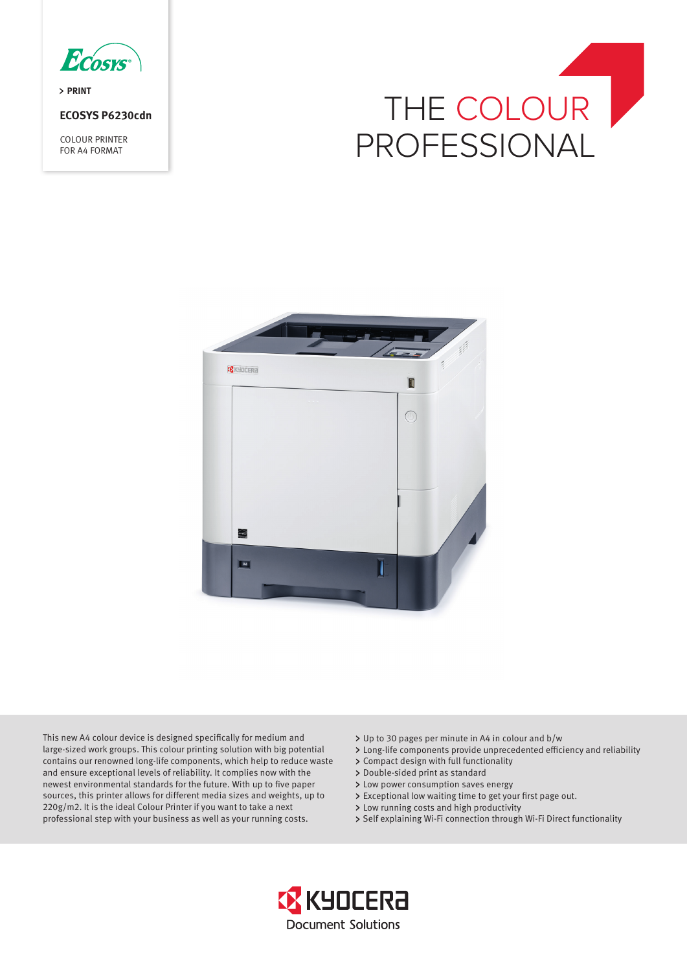

> PRINT

# **ECOSYS P6230cdn**

COLOUR PRINTER FOR A4 FORMAT





This new A4 colour device is designed specifically for medium and large-sized work groups. This colour printing solution with big potential contains our renowned long-life components, which help to reduce waste and ensure exceptional levels of reliability. It complies now with the newest environmental standards for the future. With up to five paper sources, this printer allows for different media sizes and weights, up to 220g/m2. It is the ideal Colour Printer if you want to take a next professional step with your business as well as your running costs.

- Up to 30 pages per minute in A4 in colour and b/w
- Long-life components provide unprecedented efficiency and reliability
- Compact design with full functionality
- > Double-sided print as standard
- Low power consumption saves energy
- Exceptional low waiting time to get your first page out.
- Low running costs and high productivity
- > Self explaining Wi-Fi connection through Wi-Fi Direct functionality